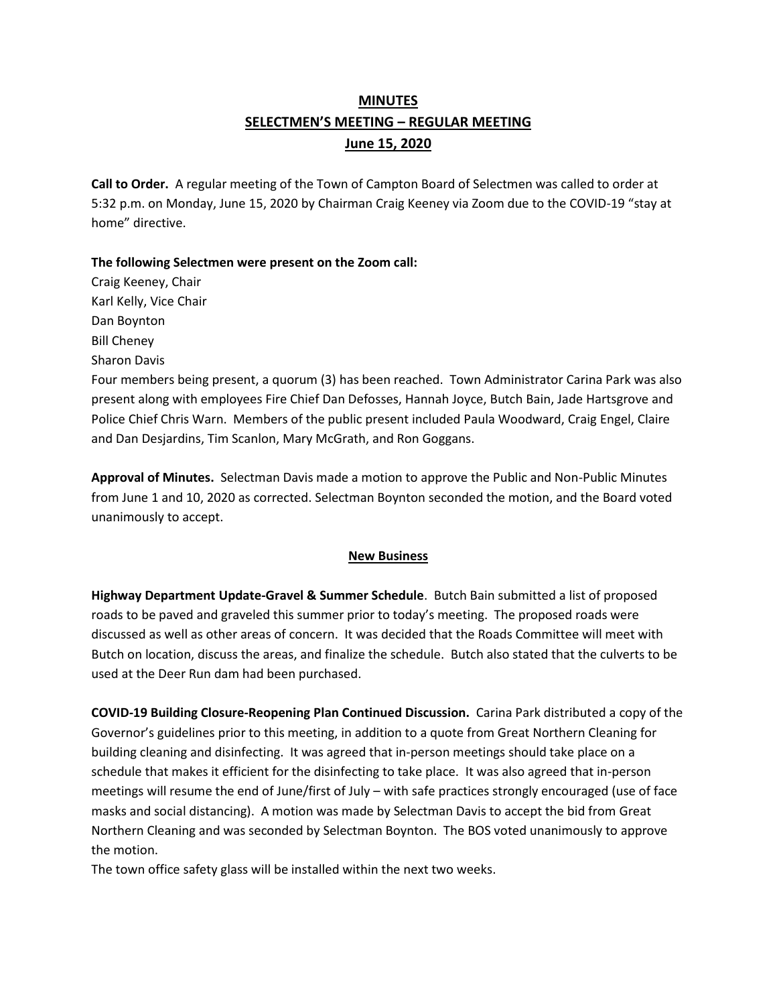# **MINUTES SELECTMEN'S MEETING – REGULAR MEETING June 15, 2020**

**Call to Order.** A regular meeting of the Town of Campton Board of Selectmen was called to order at 5:32 p.m. on Monday, June 15, 2020 by Chairman Craig Keeney via Zoom due to the COVID-19 "stay at home" directive.

## **The following Selectmen were present on the Zoom call:**

Craig Keeney, Chair Karl Kelly, Vice Chair Dan Boynton Bill Cheney Sharon Davis

Four members being present, a quorum (3) has been reached.Town Administrator Carina Park was also present along with employees Fire Chief Dan Defosses, Hannah Joyce, Butch Bain, Jade Hartsgrove and Police Chief Chris Warn. Members of the public present included Paula Woodward, Craig Engel, Claire and Dan Desjardins, Tim Scanlon, Mary McGrath, and Ron Goggans.

**Approval of Minutes.** Selectman Davis made a motion to approve the Public and Non-Public Minutes from June 1 and 10, 2020 as corrected. Selectman Boynton seconded the motion, and the Board voted unanimously to accept.

### **New Business**

**Highway Department Update-Gravel & Summer Schedule**. Butch Bain submitted a list of proposed roads to be paved and graveled this summer prior to today's meeting. The proposed roads were discussed as well as other areas of concern. It was decided that the Roads Committee will meet with Butch on location, discuss the areas, and finalize the schedule. Butch also stated that the culverts to be used at the Deer Run dam had been purchased.

**COVID-19 Building Closure-Reopening Plan Continued Discussion.** Carina Park distributed a copy of the Governor's guidelines prior to this meeting, in addition to a quote from Great Northern Cleaning for building cleaning and disinfecting. It was agreed that in-person meetings should take place on a schedule that makes it efficient for the disinfecting to take place. It was also agreed that in-person meetings will resume the end of June/first of July – with safe practices strongly encouraged (use of face masks and social distancing). A motion was made by Selectman Davis to accept the bid from Great Northern Cleaning and was seconded by Selectman Boynton. The BOS voted unanimously to approve the motion.

The town office safety glass will be installed within the next two weeks.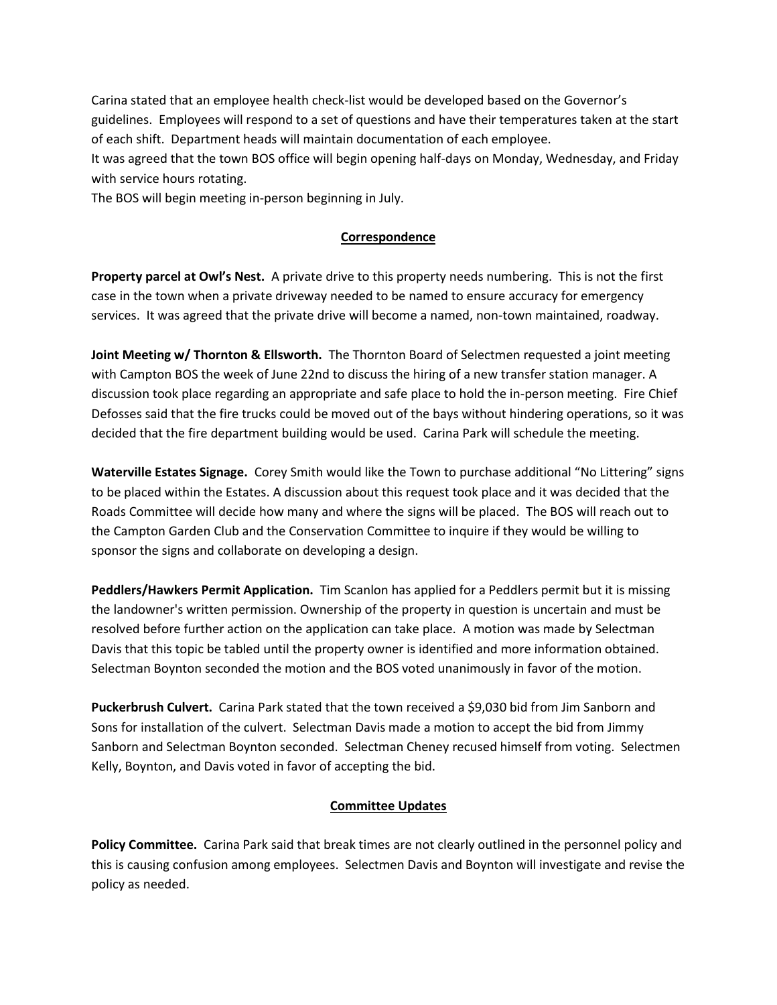Carina stated that an employee health check-list would be developed based on the Governor's guidelines. Employees will respond to a set of questions and have their temperatures taken at the start of each shift. Department heads will maintain documentation of each employee.

It was agreed that the town BOS office will begin opening half-days on Monday, Wednesday, and Friday with service hours rotating.

The BOS will begin meeting in-person beginning in July.

### **Correspondence**

**Property parcel at Owl's Nest.** A private drive to this property needs numbering. This is not the first case in the town when a private driveway needed to be named to ensure accuracy for emergency services. It was agreed that the private drive will become a named, non-town maintained, roadway.

**Joint Meeting w/ Thornton & Ellsworth.** The Thornton Board of Selectmen requested a joint meeting with Campton BOS the week of June 22nd to discuss the hiring of a new transfer station manager. A discussion took place regarding an appropriate and safe place to hold the in-person meeting. Fire Chief Defosses said that the fire trucks could be moved out of the bays without hindering operations, so it was decided that the fire department building would be used. Carina Park will schedule the meeting.

**Waterville Estates Signage.** Corey Smith would like the Town to purchase additional "No Littering" signs to be placed within the Estates. A discussion about this request took place and it was decided that the Roads Committee will decide how many and where the signs will be placed. The BOS will reach out to the Campton Garden Club and the Conservation Committee to inquire if they would be willing to sponsor the signs and collaborate on developing a design.

**Peddlers/Hawkers Permit Application.** Tim Scanlon has applied for a Peddlers permit but it is missing the landowner's written permission. Ownership of the property in question is uncertain and must be resolved before further action on the application can take place. A motion was made by Selectman Davis that this topic be tabled until the property owner is identified and more information obtained. Selectman Boynton seconded the motion and the BOS voted unanimously in favor of the motion.

**Puckerbrush Culvert.** Carina Park stated that the town received a \$9,030 bid from Jim Sanborn and Sons for installation of the culvert. Selectman Davis made a motion to accept the bid from Jimmy Sanborn and Selectman Boynton seconded. Selectman Cheney recused himself from voting. Selectmen Kelly, Boynton, and Davis voted in favor of accepting the bid.

### **Committee Updates**

**Policy Committee.** Carina Park said that break times are not clearly outlined in the personnel policy and this is causing confusion among employees. Selectmen Davis and Boynton will investigate and revise the policy as needed.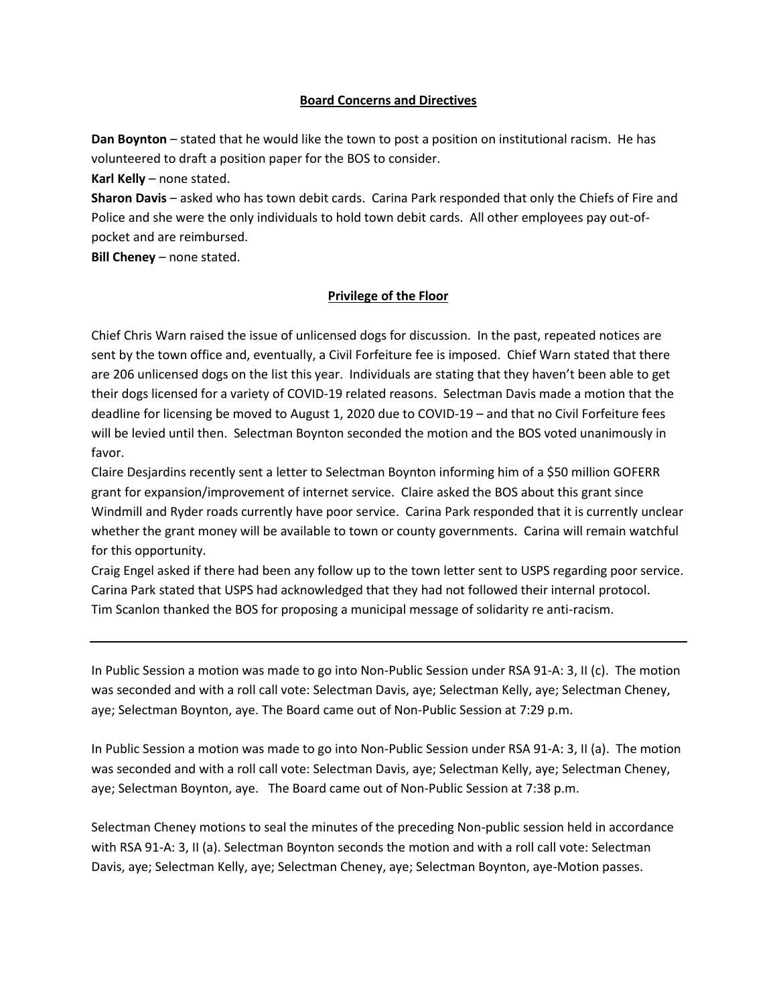#### **Board Concerns and Directives**

**Dan Boynton** – stated that he would like the town to post a position on institutional racism. He has volunteered to draft a position paper for the BOS to consider.

**Karl Kelly** – none stated.

**Sharon Davis** – asked who has town debit cards. Carina Park responded that only the Chiefs of Fire and Police and she were the only individuals to hold town debit cards. All other employees pay out-ofpocket and are reimbursed.

**Bill Cheney** – none stated.

### **Privilege of the Floor**

Chief Chris Warn raised the issue of unlicensed dogs for discussion. In the past, repeated notices are sent by the town office and, eventually, a Civil Forfeiture fee is imposed. Chief Warn stated that there are 206 unlicensed dogs on the list this year. Individuals are stating that they haven't been able to get their dogs licensed for a variety of COVID-19 related reasons. Selectman Davis made a motion that the deadline for licensing be moved to August 1, 2020 due to COVID-19 – and that no Civil Forfeiture fees will be levied until then. Selectman Boynton seconded the motion and the BOS voted unanimously in favor.

Claire Desjardins recently sent a letter to Selectman Boynton informing him of a \$50 million GOFERR grant for expansion/improvement of internet service. Claire asked the BOS about this grant since Windmill and Ryder roads currently have poor service. Carina Park responded that it is currently unclear whether the grant money will be available to town or county governments. Carina will remain watchful for this opportunity.

Craig Engel asked if there had been any follow up to the town letter sent to USPS regarding poor service. Carina Park stated that USPS had acknowledged that they had not followed their internal protocol. Tim Scanlon thanked the BOS for proposing a municipal message of solidarity re anti-racism.

In Public Session a motion was made to go into Non-Public Session under RSA 91-A: 3, II (c). The motion was seconded and with a roll call vote: Selectman Davis, aye; Selectman Kelly, aye; Selectman Cheney, aye; Selectman Boynton, aye. The Board came out of Non-Public Session at 7:29 p.m.

In Public Session a motion was made to go into Non-Public Session under RSA 91-A: 3, II (a). The motion was seconded and with a roll call vote: Selectman Davis, aye; Selectman Kelly, aye; Selectman Cheney, aye; Selectman Boynton, aye. The Board came out of Non-Public Session at 7:38 p.m.

Selectman Cheney motions to seal the minutes of the preceding Non-public session held in accordance with RSA 91-A: 3, II (a). Selectman Boynton seconds the motion and with a roll call vote: Selectman Davis, aye; Selectman Kelly, aye; Selectman Cheney, aye; Selectman Boynton, aye-Motion passes.